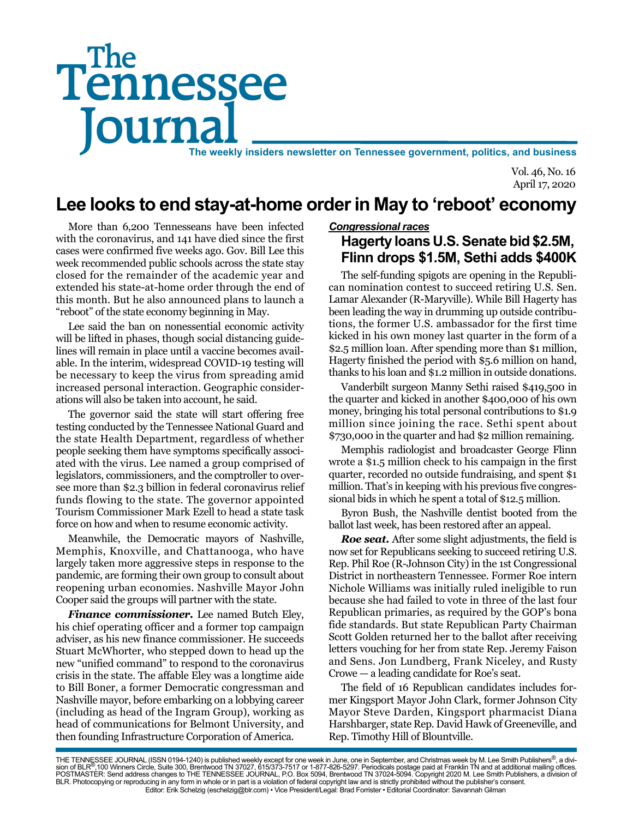# Tennessee **Journal** The weekly insiders newsletter on Tennessee government, politics, and business The

Vol. 46, No. 16 April 17, 2020

# **Lee looks to end stay-at-home order in May to 'reboot' economy**

More than 6,200 Tennesseans have been infected with the coronavirus, and 141 have died since the first cases were confirmed five weeks ago. Gov. Bill Lee this week recommended public schools across the state stay closed for the remainder of the academic year and extended his state-at-home order through the end of this month. But he also announced plans to launch a "reboot" of the state economy beginning in May.

Lee said the ban on nonessential economic activity will be lifted in phases, though social distancing guidelines will remain in place until a vaccine becomes available. In the interim, widespread COVID-19 testing will be necessary to keep the virus from spreading amid increased personal interaction. Geographic considerations will also be taken into account, he said.

The governor said the state will start offering free testing conducted by the Tennessee National Guard and the state Health Department, regardless of whether people seeking them have symptoms specifically associated with the virus. Lee named a group comprised of legislators, commissioners, and the comptroller to oversee more than \$2.3 billion in federal coronavirus relief funds flowing to the state. The governor appointed Tourism Commissioner Mark Ezell to head a state task force on how and when to resume economic activity.

Meanwhile, the Democratic mayors of Nashville, Memphis, Knoxville, and Chattanooga, who have largely taken more aggressive steps in response to the pandemic, are forming their own group to consult about reopening urban economies. Nashville Mayor John Cooper said the groups will partner with the state.

*Finance commissioner.* Lee named Butch Eley, his chief operating officer and a former top campaign adviser, as his new finance commissioner. He succeeds Stuart McWhorter, who stepped down to head up the new "unified command" to respond to the coronavirus crisis in the state. The affable Eley was a longtime aide to Bill Boner, a former Democratic congressman and Nashville mayor, before embarking on a lobbying career (including as head of the Ingram Group), working as head of communications for Belmont University, and then founding Infrastructure Corporation of America.

#### *Congressional races*

## **Hagerty loans U.S. Senate bid \$2.5M, Flinn drops \$1.5M, Sethi adds \$400K**

The self-funding spigots are opening in the Republican nomination contest to succeed retiring U.S. Sen. Lamar Alexander (R-Maryville). While Bill Hagerty has been leading the way in drumming up outside contributions, the former U.S. ambassador for the first time kicked in his own money last quarter in the form of a \$2.5 million loan. After spending more than \$1 million, Hagerty finished the period with \$5.6 million on hand, thanks to his loan and \$1.2 million in outside donations.

Vanderbilt surgeon Manny Sethi raised \$419,500 in the quarter and kicked in another \$400,000 of his own money, bringing his total personal contributions to \$1.9 million since joining the race. Sethi spent about \$730,000 in the quarter and had \$2 million remaining.

Memphis radiologist and broadcaster George Flinn wrote a \$1.5 million check to his campaign in the first quarter, recorded no outside fundraising, and spent \$1 million. That's in keeping with his previous five congressional bids in which he spent a total of \$12.5 million.

Byron Bush, the Nashville dentist booted from the ballot last week, has been restored after an appeal.

*Roe seat.* After some slight adjustments, the field is now set for Republicans seeking to succeed retiring U.S. Rep. Phil Roe (R-Johnson City) in the 1st Congressional District in northeastern Tennessee. Former Roe intern Nichole Williams was initially ruled ineligible to run because she had failed to vote in three of the last four Republican primaries, as required by the GOP's bona fide standards. But state Republican Party Chairman Scott Golden returned her to the ballot after receiving letters vouching for her from state Rep. Jeremy Faison and Sens. Jon Lundberg, Frank Niceley, and Rusty Crowe — a leading candidate for Roe's seat.

The field of 16 Republican candidates includes former Kingsport Mayor John Clark, former Johnson City Mayor Steve Darden, Kingsport pharmacist Diana Harshbarger, state Rep. David Hawk of Greeneville, and Rep. Timothy Hill of Blountville.

THE TENNESSEE JOURNAL (ISSN 0194-1240) is published weekly except for one week in June, one in September, and Christmas week by M. Lee Smith Publishers®, a divi-<br>sion of BLR®,100 Winners Circle, Suite 300, Brentwood TN 370 BLR. Photocopying or reproducing in any form in whole or in part is a violation of federal copyright law and is strictly prohibited without the publisher's consent. Editor: Erik Schelzig (eschelzig@blr.com) • Vice President/Legal: Brad Forrister • Editorial Coordinator: Savannah Gilman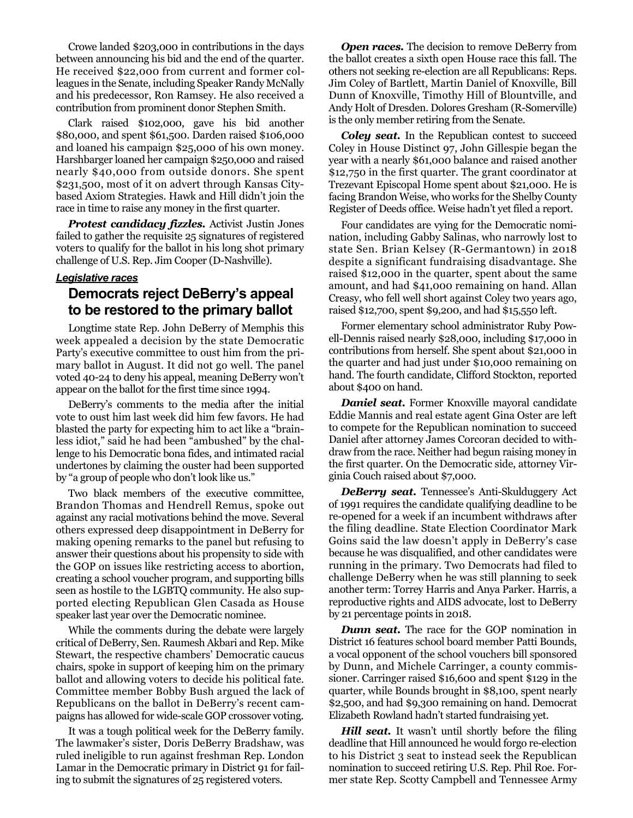Crowe landed \$203,000 in contributions in the days between announcing his bid and the end of the quarter. He received \$22,000 from current and former colleagues in the Senate, including Speaker Randy McNally and his predecessor, Ron Ramsey. He also received a contribution from prominent donor Stephen Smith.

Clark raised \$102,000, gave his bid another \$80,000, and spent \$61,500. Darden raised \$106,000 and loaned his campaign \$25,000 of his own money. Harshbarger loaned her campaign \$250,000 and raised nearly \$40,000 from outside donors. She spent \$231,500, most of it on advert through Kansas Citybased Axiom Strategies. Hawk and Hill didn't join the race in time to raise any money in the first quarter.

*Protest candidacy fizzles.* Activist Justin Jones failed to gather the requisite 25 signatures of registered voters to qualify for the ballot in his long shot primary challenge of U.S. Rep. Jim Cooper (D-Nashville).

#### *Legislative races*

### **Democrats reject DeBerry's appeal to be restored to the primary ballot**

Longtime state Rep. John DeBerry of Memphis this week appealed a decision by the state Democratic Party's executive committee to oust him from the primary ballot in August. It did not go well. The panel voted 40-24 to deny his appeal, meaning DeBerry won't appear on the ballot for the first time since 1994.

DeBerry's comments to the media after the initial vote to oust him last week did him few favors. He had blasted the party for expecting him to act like a "brainless idiot," said he had been "ambushed" by the challenge to his Democratic bona fides, and intimated racial undertones by claiming the ouster had been supported by "a group of people who don't look like us."

Two black members of the executive committee, Brandon Thomas and Hendrell Remus, spoke out against any racial motivations behind the move. Several others expressed deep disappointment in DeBerry for making opening remarks to the panel but refusing to answer their questions about his propensity to side with the GOP on issues like restricting access to abortion, creating a school voucher program, and supporting bills seen as hostile to the LGBTQ community. He also supported electing Republican Glen Casada as House speaker last year over the Democratic nominee.

While the comments during the debate were largely critical of DeBerry, Sen. Raumesh Akbari and Rep. Mike Stewart, the respective chambers' Democratic caucus chairs, spoke in support of keeping him on the primary ballot and allowing voters to decide his political fate. Committee member Bobby Bush argued the lack of Republicans on the ballot in DeBerry's recent campaigns has allowed for wide-scale GOP crossover voting.

It was a tough political week for the DeBerry family. The lawmaker's sister, Doris DeBerry Bradshaw, was ruled ineligible to run against freshman Rep. London Lamar in the Democratic primary in District 91 for failing to submit the signatures of 25 registered voters.

**Open races.** The decision to remove DeBerry from the ballot creates a sixth open House race this fall. The others not seeking re-election are all Republicans: Reps. Jim Coley of Bartlett, Martin Daniel of Knoxville, Bill Dunn of Knoxville, Timothy Hill of Blountville, and Andy Holt of Dresden. Dolores Gresham (R-Somerville) is the only member retiring from the Senate.

*Coley seat.* In the Republican contest to succeed Coley in House Distinct 97, John Gillespie began the year with a nearly \$61,000 balance and raised another \$12,750 in the first quarter. The grant coordinator at Trezevant Episcopal Home spent about \$21,000. He is facing Brandon Weise, who works for the Shelby County Register of Deeds office. Weise hadn't yet filed a report.

Four candidates are vying for the Democratic nomination, including Gabby Salinas, who narrowly lost to state Sen. Brian Kelsey (R-Germantown) in 2018 despite a significant fundraising disadvantage. She raised \$12,000 in the quarter, spent about the same amount, and had \$41,000 remaining on hand. Allan Creasy, who fell well short against Coley two years ago, raised \$12,700, spent \$9,200, and had \$15,550 left.

Former elementary school administrator Ruby Powell-Dennis raised nearly \$28,000, including \$17,000 in contributions from herself. She spent about \$21,000 in the quarter and had just under \$10,000 remaining on hand. The fourth candidate, Clifford Stockton, reported about \$400 on hand.

*Daniel seat.* Former Knoxville mayoral candidate Eddie Mannis and real estate agent Gina Oster are left to compete for the Republican nomination to succeed Daniel after attorney James Corcoran decided to withdraw from the race. Neither had begun raising money in the first quarter. On the Democratic side, attorney Virginia Couch raised about \$7,000.

*DeBerry seat.* Tennessee's Anti-Skulduggery Act of 1991 requires the candidate qualifying deadline to be re-opened for a week if an incumbent withdraws after the filing deadline. State Election Coordinator Mark Goins said the law doesn't apply in DeBerry's case because he was disqualified, and other candidates were running in the primary. Two Democrats had filed to challenge DeBerry when he was still planning to seek another term: Torrey Harris and Anya Parker. Harris, a reproductive rights and AIDS advocate, lost to DeBerry by 21 percentage points in 2018.

*Dunn seat.* The race for the GOP nomination in District 16 features school board member Patti Bounds, a vocal opponent of the school vouchers bill sponsored by Dunn, and Michele Carringer, a county commissioner. Carringer raised \$16,600 and spent \$129 in the quarter, while Bounds brought in \$8,100, spent nearly \$2,500, and had \$9,300 remaining on hand. Democrat Elizabeth Rowland hadn't started fundraising yet.

*Hill seat.* It wasn't until shortly before the filing deadline that Hill announced he would forgo re-election to his District 3 seat to instead seek the Republican nomination to succeed retiring U.S. Rep. Phil Roe. Former state Rep. Scotty Campbell and Tennessee Army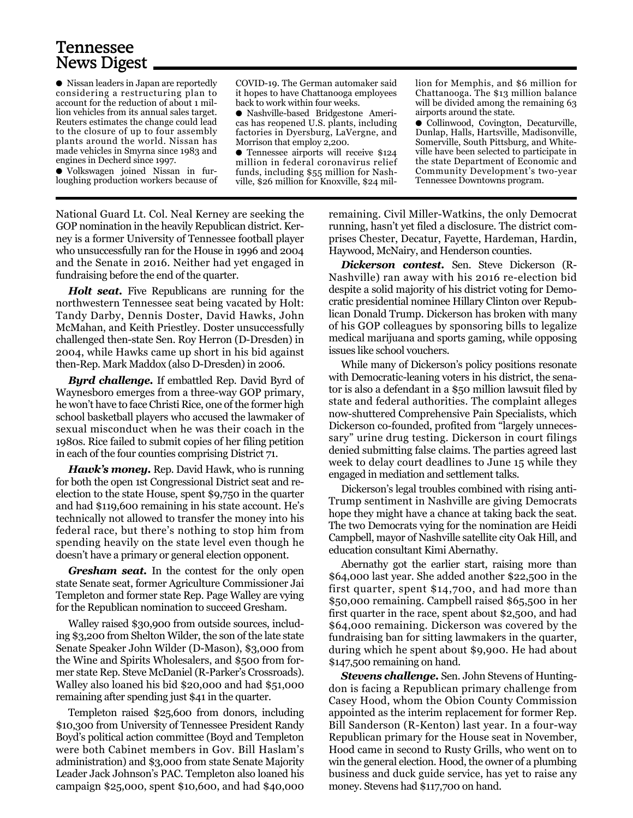# Tennessee News Digest

● Nissan leaders in Japan are reportedly considering a restructuring plan to account for the reduction of about 1 million vehicles from its annual sales target. Reuters estimates the change could lead to the closure of up to four assembly plants around the world. Nissan has made vehicles in Smyrna since 1983 and engines in Decherd since 1997.

● Volkswagen joined Nissan in furloughing production workers because of

COVID-19. The German automaker said it hopes to have Chattanooga employees back to work within four weeks.

● Nashville-based Bridgestone Americas has reopened U.S. plants, including factories in Dyersburg, LaVergne, and Morrison that employ 2,200.

● Tennessee airports will receive \$124 million in federal coronavirus relief funds, including \$55 million for Nashville, \$26 million for Knoxville, \$24 million for Memphis, and \$6 million for Chattanooga. The \$13 million balance will be divided among the remaining 63 airports around the state.

● Collinwood, Covington, Decaturville, Dunlap, Halls, Hartsville, Madisonville, Somerville, South Pittsburg, and Whiteville have been selected to participate in the state Department of Economic and Community Development's two-year Tennessee Downtowns program.

National Guard Lt. Col. Neal Kerney are seeking the GOP nomination in the heavily Republican district. Kerney is a former University of Tennessee football player who unsuccessfully ran for the House in 1996 and 2004 and the Senate in 2016. Neither had yet engaged in fundraising before the end of the quarter.

*Holt seat.* Five Republicans are running for the northwestern Tennessee seat being vacated by Holt: Tandy Darby, Dennis Doster, David Hawks, John McMahan, and Keith Priestley. Doster unsuccessfully challenged then-state Sen. Roy Herron (D-Dresden) in 2004, while Hawks came up short in his bid against then-Rep. Mark Maddox (also D-Dresden) in 2006.

*Byrd challenge.* If embattled Rep. David Byrd of Waynesboro emerges from a three-way GOP primary, he won't have to face Christi Rice, one of the former high school basketball players who accused the lawmaker of sexual misconduct when he was their coach in the 1980s. Rice failed to submit copies of her filing petition in each of the four counties comprising District 71.

*Hawk's money***.** Rep. David Hawk, who is running for both the open 1st Congressional District seat and reelection to the state House, spent \$9,750 in the quarter and had \$119,600 remaining in his state account. He's technically not allowed to transfer the money into his federal race, but there's nothing to stop him from spending heavily on the state level even though he doesn't have a primary or general election opponent.

*Gresham seat.* In the contest for the only open state Senate seat, former Agriculture Commissioner Jai Templeton and former state Rep. Page Walley are vying for the Republican nomination to succeed Gresham.

Walley raised \$30,900 from outside sources, including \$3,200 from Shelton Wilder, the son of the late state Senate Speaker John Wilder (D-Mason), \$3,000 from the Wine and Spirits Wholesalers, and \$500 from former state Rep. Steve McDaniel (R-Parker's Crossroads). Walley also loaned his bid \$20,000 and had \$51,000 remaining after spending just \$41 in the quarter.

Templeton raised \$25,600 from donors, including \$10,300 from University of Tennessee President Randy Boyd's political action committee (Boyd and Templeton were both Cabinet members in Gov. Bill Haslam's administration) and \$3,000 from state Senate Majority Leader Jack Johnson's PAC. Templeton also loaned his campaign \$25,000, spent \$10,600, and had \$40,000

remaining. Civil Miller-Watkins, the only Democrat running, hasn't yet filed a disclosure. The district comprises Chester, Decatur, Fayette, Hardeman, Hardin, Haywood, McNairy, and Henderson counties.

*Dickerson contest.* Sen. Steve Dickerson (R-Nashville) ran away with his 2016 re-election bid despite a solid majority of his district voting for Democratic presidential nominee Hillary Clinton over Republican Donald Trump. Dickerson has broken with many of his GOP colleagues by sponsoring bills to legalize medical marijuana and sports gaming, while opposing issues like school vouchers.

While many of Dickerson's policy positions resonate with Democratic-leaning voters in his district, the senator is also a defendant in a \$50 million lawsuit filed by state and federal authorities. The complaint alleges now-shuttered Comprehensive Pain Specialists, which Dickerson co-founded, profited from "largely unnecessary" urine drug testing. Dickerson in court filings denied submitting false claims. The parties agreed last week to delay court deadlines to June 15 while they engaged in mediation and settlement talks.

Dickerson's legal troubles combined with rising anti-Trump sentiment in Nashville are giving Democrats hope they might have a chance at taking back the seat. The two Democrats vying for the nomination are Heidi Campbell, mayor of Nashville satellite city Oak Hill, and education consultant Kimi Abernathy.

Abernathy got the earlier start, raising more than \$64,000 last year. She added another \$22,500 in the first quarter, spent \$14,700, and had more than \$50,000 remaining. Campbell raised \$65,500 in her first quarter in the race, spent about \$2,500, and had \$64,000 remaining. Dickerson was covered by the fundraising ban for sitting lawmakers in the quarter, during which he spent about \$9,900. He had about \$147,500 remaining on hand.

*Stevens challenge.* Sen. John Stevens of Huntingdon is facing a Republican primary challenge from Casey Hood, whom the Obion County Commission appointed as the interim replacement for former Rep. Bill Sanderson (R-Kenton) last year. In a four-way Republican primary for the House seat in November, Hood came in second to Rusty Grills, who went on to win the general election. Hood, the owner of a plumbing business and duck guide service, has yet to raise any money. Stevens had \$117,700 on hand.